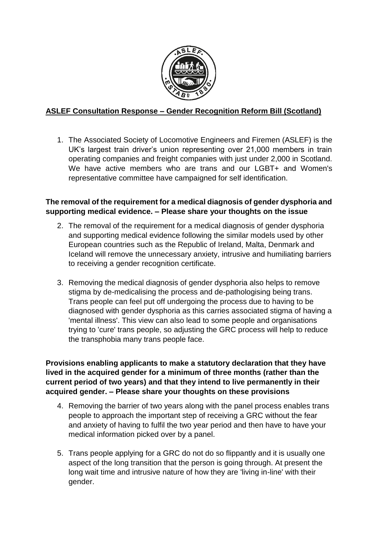

# **ASLEF Consultation Response – Gender Recognition Reform Bill (Scotland)**

1. The Associated Society of Locomotive Engineers and Firemen (ASLEF) is the UK's largest train driver's union representing over 21,000 members in train operating companies and freight companies with just under 2,000 in Scotland. We have active members who are trans and our LGBT+ and Women's representative committee have campaigned for self identification.

## **The removal of the requirement for a medical diagnosis of gender dysphoria and supporting medical evidence. – Please share your thoughts on the issue**

- 2. The removal of the requirement for a medical diagnosis of gender dysphoria and supporting medical evidence following the similar models used by other European countries such as the Republic of Ireland, Malta, Denmark and Iceland will remove the unnecessary anxiety, intrusive and humiliating barriers to receiving a gender recognition certificate.
- 3. Removing the medical diagnosis of gender dysphoria also helps to remove stigma by de-medicalising the process and de-pathologising being trans. Trans people can feel put off undergoing the process due to having to be diagnosed with gender dysphoria as this carries associated stigma of having a 'mental illness'. This view can also lead to some people and organisations trying to 'cure' trans people, so adjusting the GRC process will help to reduce the transphobia many trans people face.

**Provisions enabling applicants to make a statutory declaration that they have lived in the acquired gender for a minimum of three months (rather than the current period of two years) and that they intend to live permanently in their acquired gender. – Please share your thoughts on these provisions**

- 4. Removing the barrier of two years along with the panel process enables trans people to approach the important step of receiving a GRC without the fear and anxiety of having to fulfil the two year period and then have to have your medical information picked over by a panel.
- 5. Trans people applying for a GRC do not do so flippantly and it is usually one aspect of the long transition that the person is going through. At present the long wait time and intrusive nature of how they are 'living in-line' with their gender.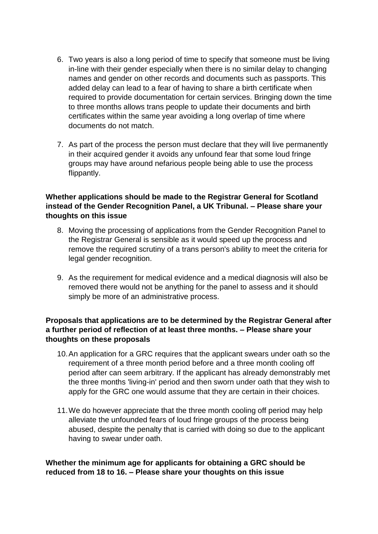- 6. Two years is also a long period of time to specify that someone must be living in-line with their gender especially when there is no similar delay to changing names and gender on other records and documents such as passports. This added delay can lead to a fear of having to share a birth certificate when required to provide documentation for certain services. Bringing down the time to three months allows trans people to update their documents and birth certificates within the same year avoiding a long overlap of time where documents do not match.
- 7. As part of the process the person must declare that they will live permanently in their acquired gender it avoids any unfound fear that some loud fringe groups may have around nefarious people being able to use the process flippantly.

## **Whether applications should be made to the Registrar General for Scotland instead of the Gender Recognition Panel, a UK Tribunal. – Please share your thoughts on this issue**

- 8. Moving the processing of applications from the Gender Recognition Panel to the Registrar General is sensible as it would speed up the process and remove the required scrutiny of a trans person's ability to meet the criteria for legal gender recognition.
- 9. As the requirement for medical evidence and a medical diagnosis will also be removed there would not be anything for the panel to assess and it should simply be more of an administrative process.

## **Proposals that applications are to be determined by the Registrar General after a further period of reflection of at least three months. – Please share your thoughts on these proposals**

- 10.An application for a GRC requires that the applicant swears under oath so the requirement of a three month period before and a three month cooling off period after can seem arbitrary. If the applicant has already demonstrably met the three months 'living-in' period and then sworn under oath that they wish to apply for the GRC one would assume that they are certain in their choices.
- 11.We do however appreciate that the three month cooling off period may help alleviate the unfounded fears of loud fringe groups of the process being abused, despite the penalty that is carried with doing so due to the applicant having to swear under oath.

**Whether the minimum age for applicants for obtaining a GRC should be reduced from 18 to 16. – Please share your thoughts on this issue**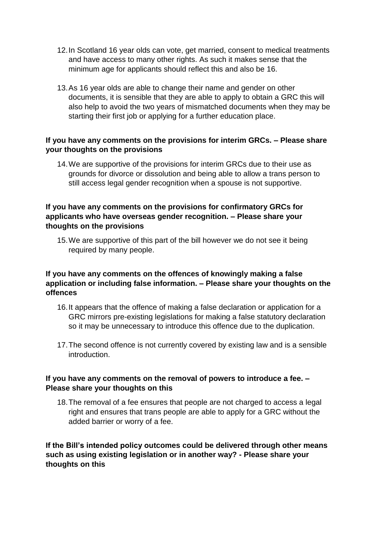- 12.In Scotland 16 year olds can vote, get married, consent to medical treatments and have access to many other rights. As such it makes sense that the minimum age for applicants should reflect this and also be 16.
- 13.As 16 year olds are able to change their name and gender on other documents, it is sensible that they are able to apply to obtain a GRC this will also help to avoid the two years of mismatched documents when they may be starting their first job or applying for a further education place.

## **If you have any comments on the provisions for interim GRCs. – Please share your thoughts on the provisions**

14.We are supportive of the provisions for interim GRCs due to their use as grounds for divorce or dissolution and being able to allow a trans person to still access legal gender recognition when a spouse is not supportive.

#### **If you have any comments on the provisions for confirmatory GRCs for applicants who have overseas gender recognition. – Please share your thoughts on the provisions**

15.We are supportive of this part of the bill however we do not see it being required by many people.

## **If you have any comments on the offences of knowingly making a false application or including false information. – Please share your thoughts on the offences**

- 16.It appears that the offence of making a false declaration or application for a GRC mirrors pre-existing legislations for making a false statutory declaration so it may be unnecessary to introduce this offence due to the duplication.
- 17.The second offence is not currently covered by existing law and is a sensible introduction.

### **If you have any comments on the removal of powers to introduce a fee. – Please share your thoughts on this**

18.The removal of a fee ensures that people are not charged to access a legal right and ensures that trans people are able to apply for a GRC without the added barrier or worry of a fee.

**If the Bill's intended policy outcomes could be delivered through other means such as using existing legislation or in another way? - Please share your thoughts on this**